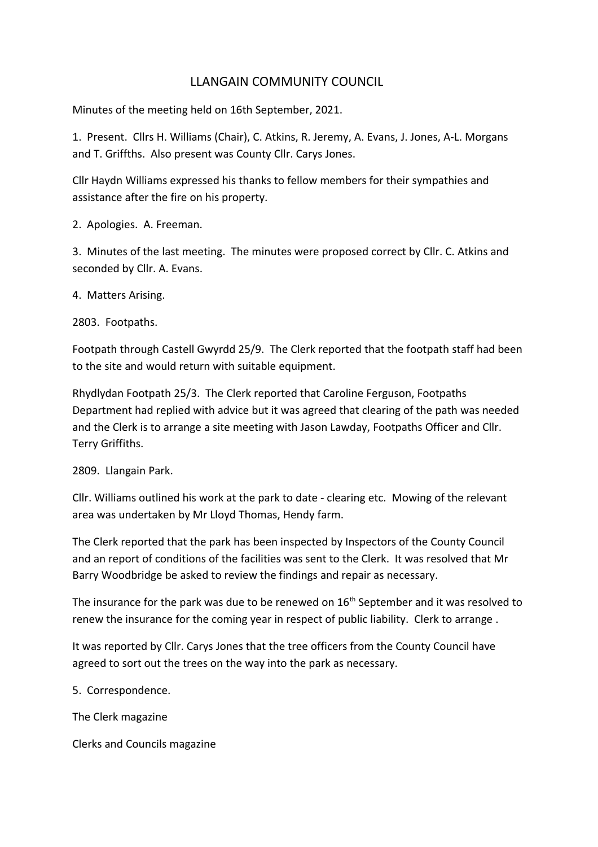# LLANGAIN COMMUNITY COUNCIL

Minutes of the meeting held on 16th September, 2021.

1. Present. Cllrs H. Williams (Chair), C. Atkins, R. Jeremy, A. Evans, J. Jones, A-L. Morgans and T. Griffths. Also present was County Cllr. Carys Jones.

Cllr Haydn Williams expressed his thanks to fellow members for their sympathies and assistance after the fire on his property.

2. Apologies. A. Freeman.

3. Minutes of the last meeting. The minutes were proposed correct by Cllr. C. Atkins and seconded by Cllr. A. Evans.

4. Matters Arising.

2803. Footpaths.

Footpath through Castell Gwyrdd 25/9. The Clerk reported that the footpath staff had been to the site and would return with suitable equipment.

Rhydlydan Footpath 25/3. The Clerk reported that Caroline Ferguson, Footpaths Department had replied with advice but it was agreed that clearing of the path was needed and the Clerk is to arrange a site meeting with Jason Lawday, Footpaths Officer and Cllr. Terry Griffiths.

2809. Llangain Park.

Cllr. Williams outlined his work at the park to date - clearing etc. Mowing of the relevant area was undertaken by Mr Lloyd Thomas, Hendy farm.

The Clerk reported that the park has been inspected by Inspectors of the County Council and an report of conditions of the facilities was sent to the Clerk. It was resolved that Mr Barry Woodbridge be asked to review the findings and repair as necessary.

The insurance for the park was due to be renewed on  $16<sup>th</sup>$  September and it was resolved to renew the insurance for the coming year in respect of public liability. Clerk to arrange .

It was reported by Cllr. Carys Jones that the tree officers from the County Council have agreed to sort out the trees on the way into the park as necessary.

5. Correspondence.

The Clerk magazine

Clerks and Councils magazine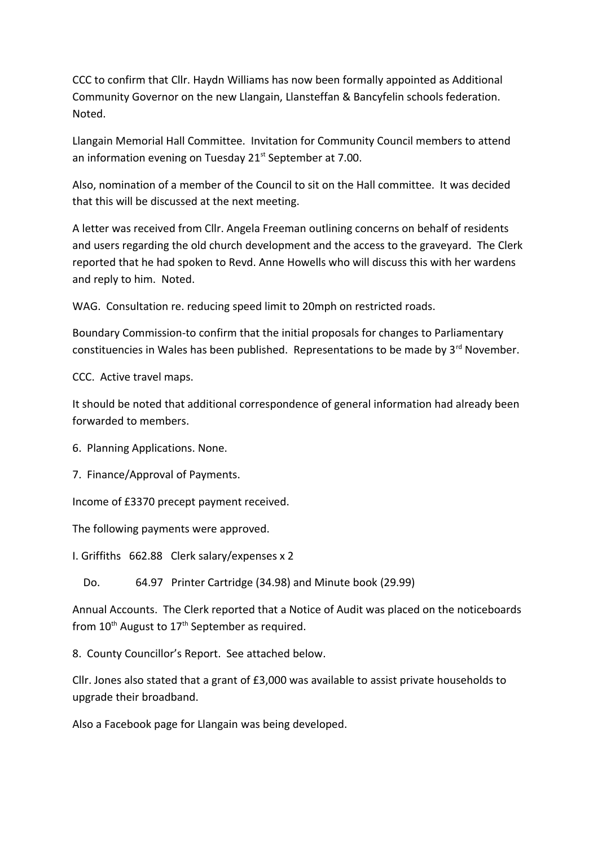CCC to confirm that Cllr. Haydn Williams has now been formally appointed as Additional Community Governor on the new Llangain, Llansteffan & Bancyfelin schools federation. Noted.

Llangain Memorial Hall Committee. Invitation for Community Council members to attend an information evening on Tuesday  $21<sup>st</sup>$  September at 7.00.

Also, nomination of a member of the Council to sit on the Hall committee. It was decided that this will be discussed at the next meeting.

A letter was received from Cllr. Angela Freeman outlining concerns on behalf of residents and users regarding the old church development and the access to the graveyard. The Clerk reported that he had spoken to Revd. Anne Howells who will discuss this with her wardens and reply to him. Noted.

WAG. Consultation re. reducing speed limit to 20mph on restricted roads.

Boundary Commission-to confirm that the initial proposals for changes to Parliamentary constituencies in Wales has been published. Representations to be made by  $3^{rd}$  November.

CCC. Active travel maps.

It should be noted that additional correspondence of general information had already been forwarded to members.

6. Planning Applications. None.

7. Finance/Approval of Payments.

Income of £3370 precept payment received.

The following payments were approved.

I. Griffiths 662.88 Clerk salary/expenses x 2

Do. 64.97 Printer Cartridge (34.98) and Minute book (29.99)

Annual Accounts. The Clerk reported that a Notice of Audit was placed on the noticeboards from  $10^{th}$  August to  $17^{th}$  September as required.

8. County Councillor's Report. See attached below.

Cllr. Jones also stated that a grant of £3,000 was available to assist private households to upgrade their broadband.

Also a Facebook page for Llangain was being developed.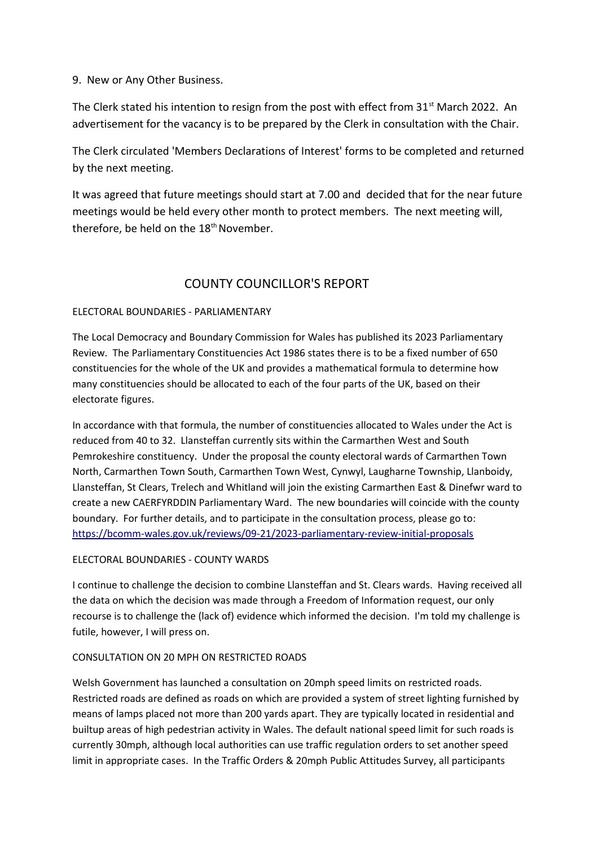# 9. New or Any Other Business.

The Clerk stated his intention to resign from the post with effect from  $31<sup>st</sup>$  March 2022. An advertisement for the vacancy is to be prepared by the Clerk in consultation with the Chair.

The Clerk circulated 'Members Declarations of Interest' forms to be completed and returned by the next meeting.

It was agreed that future meetings should start at 7.00 and decided that for the near future meetings would be held every other month to protect members. The next meeting will, therefore, be held on the 18<sup>th</sup> November.

# COUNTY COUNCILLOR'S REPORT

# ELECTORAL BOUNDARIES - PARLIAMENTARY

The Local Democracy and Boundary Commission for Wales has published its 2023 Parliamentary Review. The Parliamentary Constituencies Act 1986 states there is to be a fixed number of 650 constituencies for the whole of the UK and provides a mathematical formula to determine how many constituencies should be allocated to each of the four parts of the UK, based on their electorate figures.

In accordance with that formula, the number of constituencies allocated to Wales under the Act is reduced from 40 to 32. Llansteffan currently sits within the Carmarthen West and South Pemrokeshire constituency. Under the proposal the county electoral wards of Carmarthen Town North, Carmarthen Town South, Carmarthen Town West, Cynwyl, Laugharne Township, Llanboidy, Llansteffan, St Clears, Trelech and Whitland will join the existing Carmarthen East & Dinefwr ward to create a new CAERFYRDDIN Parliamentary Ward. The new boundaries will coincide with the county boundary. For further details, and to participate in the consultation process, please go to: <https://bcomm-wales.gov.uk/reviews/09-21/2023-parliamentary-review-initial-proposals>

# ELECTORAL BOUNDARIES - COUNTY WARDS

I continue to challenge the decision to combine Llansteffan and St. Clears wards. Having received all the data on which the decision was made through a Freedom of Information request, our only recourse is to challenge the (lack of) evidence which informed the decision. I'm told my challenge is futile, however, I will press on.

# CONSULTATION ON 20 MPH ON RESTRICTED ROADS

Welsh Government has launched a consultation on 20mph speed limits on restricted roads. Restricted roads are defined as roads on which are provided a system of street lighting furnished by means of lamps placed not more than 200 yards apart. They are typically located in residential and builtup areas of high pedestrian activity in Wales. The default national speed limit for such roads is currently 30mph, although local authorities can use traffic regulation orders to set another speed limit in appropriate cases. In the Traffic Orders & 20mph Public Attitudes Survey, all participants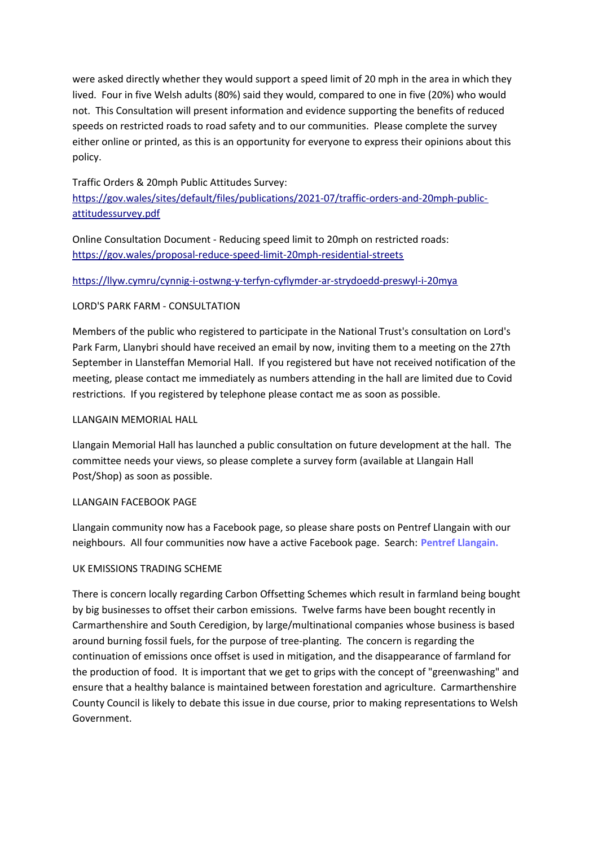were asked directly whether they would support a speed limit of 20 mph in the area in which they lived. Four in five Welsh adults (80%) said they would, compared to one in five (20%) who would not. This Consultation will present information and evidence supporting the benefits of reduced speeds on restricted roads to road safety and to our communities. Please complete the survey either online or printed, as this is an opportunity for everyone to express their opinions about this policy.

# Traffic Orders & 20mph Public Attitudes Survey:

[https://gov.wales/sites/default/files/publications/2021-07/traffic-orders-and-20mph-public](https://gov.wales/sites/default/files/publications/2021-07/traffic-orders-and-20mph-public-attitudessurvey.pdf)[attitudessurvey.pdf](https://gov.wales/sites/default/files/publications/2021-07/traffic-orders-and-20mph-public-attitudessurvey.pdf)

Online Consultation Document - Reducing speed limit to 20mph on restricted roads: <https://gov.wales/proposal-reduce-speed-limit-20mph-residential-streets>

## <https://llyw.cymru/cynnig-i-ostwng-y-terfyn-cyflymder-ar-strydoedd-preswyl-i-20mya>

#### LORD'S PARK FARM - CONSULTATION

Members of the public who registered to participate in the National Trust's consultation on Lord's Park Farm, Llanybri should have received an email by now, inviting them to a meeting on the 27th September in Llansteffan Memorial Hall. If you registered but have not received notification of the meeting, please contact me immediately as numbers attending in the hall are limited due to Covid restrictions. If you registered by telephone please contact me as soon as possible.

## LLANGAIN MEMORIAL HALL

Llangain Memorial Hall has launched a public consultation on future development at the hall. The committee needs your views, so please complete a survey form (available at Llangain Hall Post/Shop) as soon as possible.

#### LLANGAIN FACEBOOK PAGE

Llangain community now has a Facebook page, so please share posts on Pentref Llangain with our neighbours. All four communities now have a active Facebook page. Search: **Pentref Llangain.** 

## UK EMISSIONS TRADING SCHEME

There is concern locally regarding Carbon Offsetting Schemes which result in farmland being bought by big businesses to offset their carbon emissions. Twelve farms have been bought recently in Carmarthenshire and South Ceredigion, by large/multinational companies whose business is based around burning fossil fuels, for the purpose of tree-planting. The concern is regarding the continuation of emissions once offset is used in mitigation, and the disappearance of farmland for the production of food. It is important that we get to grips with the concept of "greenwashing" and ensure that a healthy balance is maintained between forestation and agriculture. Carmarthenshire County Council is likely to debate this issue in due course, prior to making representations to Welsh Government.